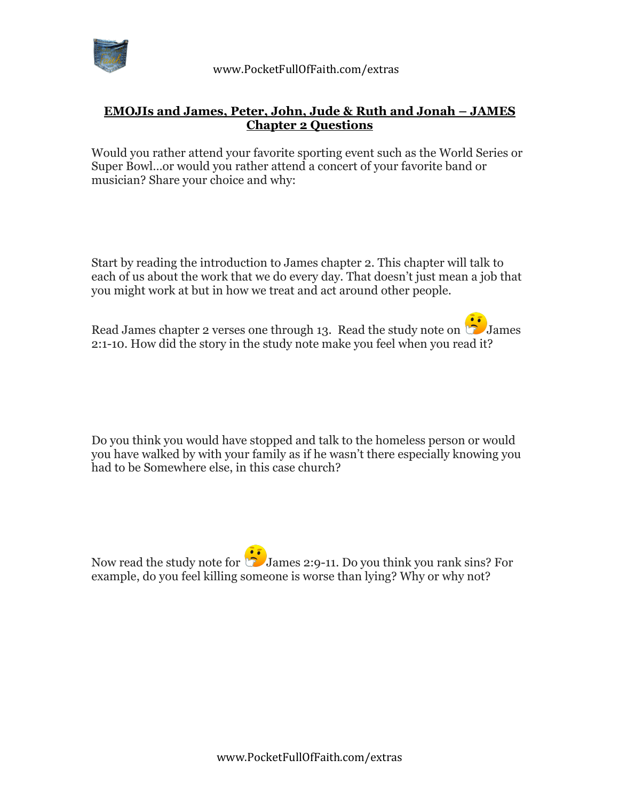

## **EMOJIs and James, Peter, John, Jude & Ruth and Jonah – JAMES Chapter 2 Questions**

Would you rather attend your favorite sporting event such as the World Series or Super Bowl…or would you rather attend a concert of your favorite band or musician? Share your choice and why:

Start by reading the introduction to James chapter 2. This chapter will talk to each of us about the work that we do every day. That doesn't just mean a job that you might work at but in how we treat and act around other people.

Read James chapter 2 verses one through 13. Read the study note on  $\bullet$  James 2:1-10. How did the story in the study note make you feel when you read it?

Do you think you would have stopped and talk to the homeless person or would you have walked by with your family as if he wasn't there especially knowing you had to be Somewhere else, in this case church?

Now read the study note for  $\ddot{\bullet}$  James 2:9-11. Do you think you rank sins? For example, do you feel killing someone is worse than lying? Why or why not?